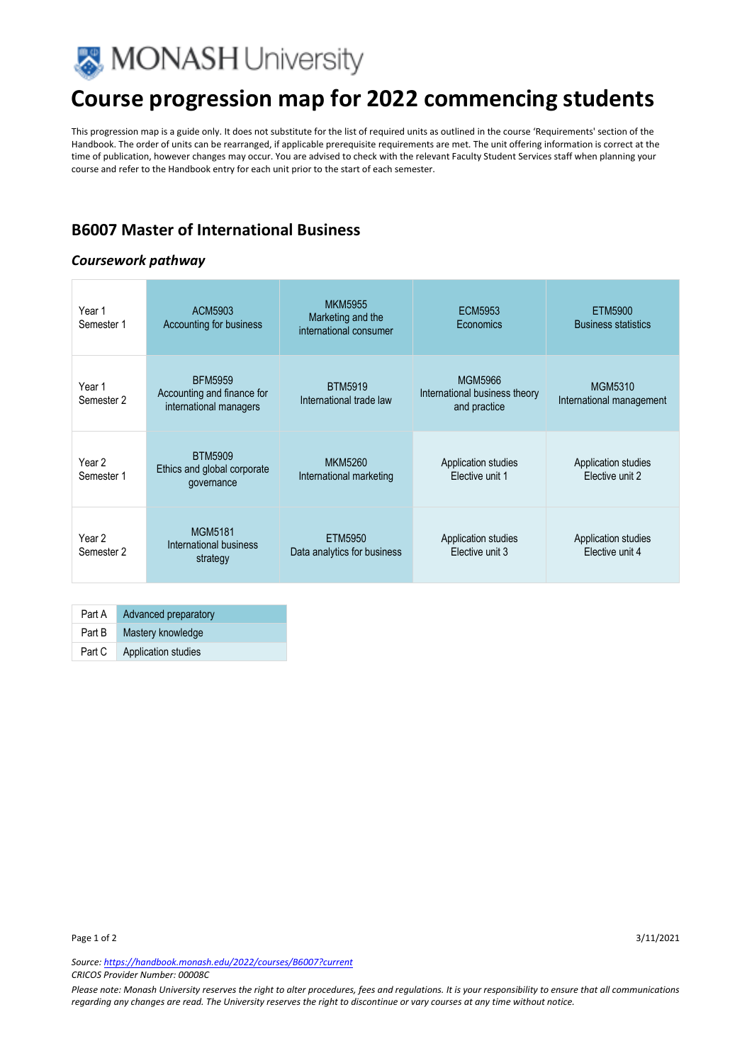

## **Course progression map for 2022 commencing students**

This progression map is a guide only. It does not substitute for the list of required units as outlined in the course 'Requirements' section of the Handbook. The order of units can be rearranged, if applicable prerequisite requirements are met. The unit offering information is correct at the time of publication, however changes may occur. You are advised to check with the relevant Faculty Student Services staff when planning your course and refer to the Handbook entry for each unit prior to the start of each semester.

### **B6007 Master of International Business**

#### *Coursework pathway*

| Year 1<br>Semester 1 | ACM5903<br>Accounting for business                                     | <b>MKM5955</b><br>Marketing and the<br>international consumer | <b>ECM5953</b><br>Economics                                     | ETM5900<br><b>Business statistics</b>  |
|----------------------|------------------------------------------------------------------------|---------------------------------------------------------------|-----------------------------------------------------------------|----------------------------------------|
| Year 1<br>Semester 2 | <b>BFM5959</b><br>Accounting and finance for<br>international managers | <b>BTM5919</b><br>International trade law                     | <b>MGM5966</b><br>International business theory<br>and practice | MGM5310<br>International management    |
| Year 2<br>Semester 1 | <b>BTM5909</b><br>Ethics and global corporate<br>governance            | <b>MKM5260</b><br>International marketing                     | Application studies<br>Elective unit 1                          | Application studies<br>Elective unit 2 |
| Year 2<br>Semester 2 | <b>MGM5181</b><br>International business<br>strategy                   | ETM5950<br>Data analytics for business                        | Application studies<br>Elective unit 3                          | Application studies<br>Elective unit 4 |

| Part A | Advanced preparatory |
|--------|----------------------|
| Part B | Mastery knowledge    |
| Part C | Application studies  |

*Source: https://handbook.monash.edu/2022/courses/B6007?current CRICOS Provider Number: 00008C* 

*Please note: Monash University reserves the right to alter procedures, fees and regulations. It is your responsibility to ensure that all communications regarding any changes are read. The University reserves the right to discontinue or vary courses at any time without notice.*